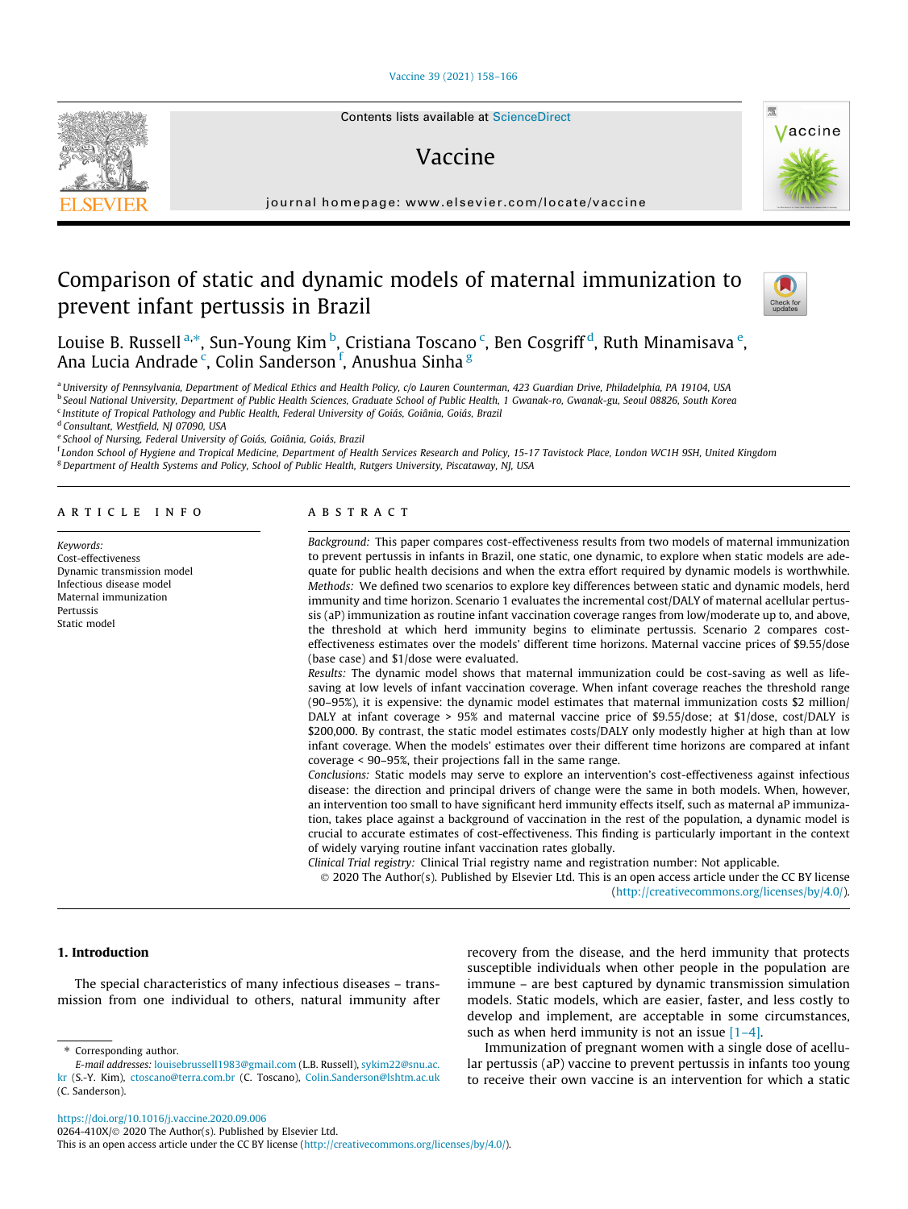#### [Vaccine 39 \(2021\) 158–166](https://doi.org/10.1016/j.vaccine.2020.09.006)

<span id="page-0-0"></span>

# Vaccine

journal homepage: [www.elsevier.com/locate/vaccine](http://www.elsevier.com/locate/vaccine)

# Comparison of static and dynamic models of maternal immunization to prevent infant pertussis in Brazil



Vaccine

Louise B. Russell <sup>a,</sup>\*, Sun-Young Kim <sup>b</sup>, Cristiana Toscano <sup>c</sup>, Ben Cosgriff <sup>d</sup>, Ruth Minamisava <sup>e</sup>, Ana Lucia Andrade <sup>c</sup>, Colin Sanderson <sup>f</sup>, Anushua Sinha <sup>g</sup>

a University of Pennsylvania, Department of Medical Ethics and Health Policy, c/o Lauren Counterman, 423 Guardian Drive, Philadelphia, PA 19104, USA

<sup>b</sup> Seoul National University, Department of Public Health Sciences, Graduate School of Public Health, 1 Gwanak-ro, Gwanak-gu, Seoul 08826, South Korea

<sup>c</sup> Institute of Tropical Pathology and Public Health, Federal University of Goiás, Goiânia, Goiás, Brazil

e School of Nursing, Federal University of Goiás, Goiânia, Goiás, Brazil

<sup>f</sup> London School of Hygiene and Tropical Medicine, Department of Health Services Research and Policy, 15-17 Tavistock Place, London WC1H 9SH, United Kingdom <sup>g</sup> Department of Health Systems and Policy, School of Public Health, Rutgers University, Piscataway, NJ, USA

#### article info

Keywords: Cost-effectiveness Dynamic transmission model Infectious disease model Maternal immunization Pertussis Static model

# ABSTRACT

Background: This paper compares cost-effectiveness results from two models of maternal immunization to prevent pertussis in infants in Brazil, one static, one dynamic, to explore when static models are adequate for public health decisions and when the extra effort required by dynamic models is worthwhile. Methods: We defined two scenarios to explore key differences between static and dynamic models, herd immunity and time horizon. Scenario 1 evaluates the incremental cost/DALY of maternal acellular pertussis (aP) immunization as routine infant vaccination coverage ranges from low/moderate up to, and above, the threshold at which herd immunity begins to eliminate pertussis. Scenario 2 compares costeffectiveness estimates over the models' different time horizons. Maternal vaccine prices of \$9.55/dose (base case) and \$1/dose were evaluated.

Results: The dynamic model shows that maternal immunization could be cost-saving as well as lifesaving at low levels of infant vaccination coverage. When infant coverage reaches the threshold range (90–95%), it is expensive: the dynamic model estimates that maternal immunization costs \$2 million/ DALY at infant coverage > 95% and maternal vaccine price of \$9.55/dose; at \$1/dose, cost/DALY is \$200,000. By contrast, the static model estimates costs/DALY only modestly higher at high than at low infant coverage. When the models' estimates over their different time horizons are compared at infant coverage < 90–95%, their projections fall in the same range.

Conclusions: Static models may serve to explore an intervention's cost-effectiveness against infectious disease: the direction and principal drivers of change were the same in both models. When, however, an intervention too small to have significant herd immunity effects itself, such as maternal aP immunization, takes place against a background of vaccination in the rest of the population, a dynamic model is crucial to accurate estimates of cost-effectiveness. This finding is particularly important in the context of widely varying routine infant vaccination rates globally.

Clinical Trial registry: Clinical Trial registry name and registration number: Not applicable.

 2020 The Author(s). Published by Elsevier Ltd. This is an open access article under the CC BY license [\(http://creativecommons.org/licenses/by/4.0/](http://creativecommons.org/licenses/by/4.0/)).

# 1. Introduction

⇑ Corresponding author.

(C. Sanderson).

The special characteristics of many infectious diseases – transmission from one individual to others, natural immunity after

E-mail addresses: [louisebrussell1983@gmail.com](mailto:louisebrussell1983@gmail.com) (L.B. Russell), [sykim22@snu.ac.](mailto:sykim22@snu.ac.kr) [kr](mailto:sykim22@snu.ac.kr) (S.-Y. Kim), [ctoscano@terra.com.br](mailto:ctoscano@terra.com.br) (C. Toscano), [Colin.Sanderson@lshtm.ac.uk](mailto:Colin.Sanderson@lshtm.ac.uk)

susceptible individuals when other people in the population are immune – are best captured by dynamic transmission simulation models. Static models, which are easier, faster, and less costly to develop and implement, are acceptable in some circumstances, such as when herd immunity is not an issue [\[1–4\].](#page-7-0)

recovery from the disease, and the herd immunity that protects

Immunization of pregnant women with a single dose of acellular pertussis (aP) vaccine to prevent pertussis in infants too young to receive their own vaccine is an intervention for which a static

<https://doi.org/10.1016/j.vaccine.2020.09.006>

0264-410X/© 2020 The Author(s). Published by Elsevier Ltd.

This is an open access article under the CC BY license ([http://creativecommons.org/licenses/by/4.0/\)](http://creativecommons.org/licenses/by/4.0/).

<sup>&</sup>lt;sup>d</sup> Consultant, Westfield, NJ 07090, USA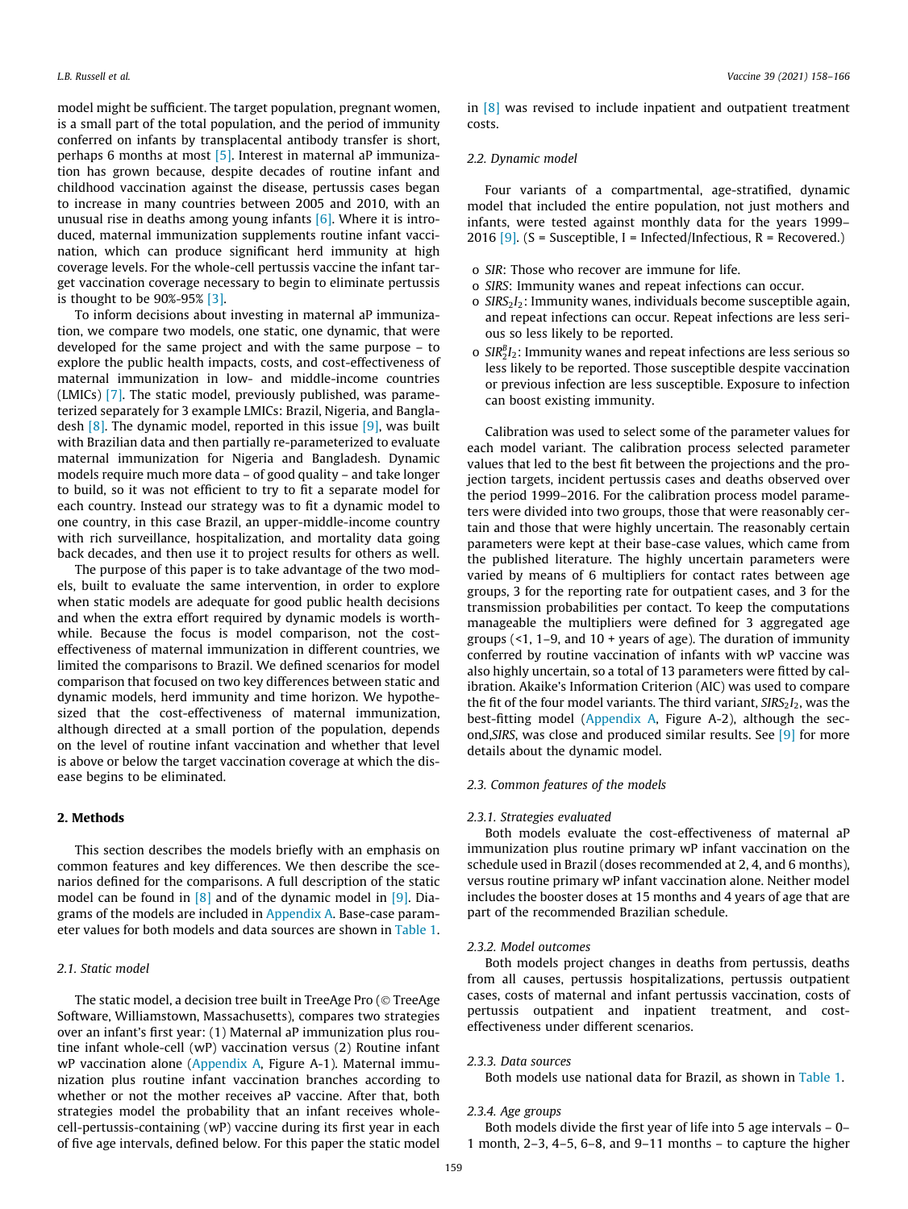model might be sufficient. The target population, pregnant women, is a small part of the total population, and the period of immunity conferred on infants by transplacental antibody transfer is short, perhaps 6 months at most [\[5\].](#page-8-0) Interest in maternal aP immunization has grown because, despite decades of routine infant and childhood vaccination against the disease, pertussis cases began to increase in many countries between 2005 and 2010, with an unusual rise in deaths among young infants  $[6]$ . Where it is introduced, maternal immunization supplements routine infant vaccination, which can produce significant herd immunity at high coverage levels. For the whole-cell pertussis vaccine the infant target vaccination coverage necessary to begin to eliminate pertussis is thought to be 90%-95% [\[3\].](#page-8-0)

To inform decisions about investing in maternal aP immunization, we compare two models, one static, one dynamic, that were developed for the same project and with the same purpose – to explore the public health impacts, costs, and cost-effectiveness of maternal immunization in low- and middle-income countries (LMICs) [\[7\]](#page-8-0). The static model, previously published, was parameterized separately for 3 example LMICs: Brazil, Nigeria, and Bangladesh [\[8\].](#page-8-0) The dynamic model, reported in this issue [\[9\],](#page-8-0) was built with Brazilian data and then partially re-parameterized to evaluate maternal immunization for Nigeria and Bangladesh. Dynamic models require much more data – of good quality – and take longer to build, so it was not efficient to try to fit a separate model for each country. Instead our strategy was to fit a dynamic model to one country, in this case Brazil, an upper-middle-income country with rich surveillance, hospitalization, and mortality data going back decades, and then use it to project results for others as well.

The purpose of this paper is to take advantage of the two models, built to evaluate the same intervention, in order to explore when static models are adequate for good public health decisions and when the extra effort required by dynamic models is worthwhile. Because the focus is model comparison, not the costeffectiveness of maternal immunization in different countries, we limited the comparisons to Brazil. We defined scenarios for model comparison that focused on two key differences between static and dynamic models, herd immunity and time horizon. We hypothesized that the cost-effectiveness of maternal immunization, although directed at a small portion of the population, depends on the level of routine infant vaccination and whether that level is above or below the target vaccination coverage at which the disease begins to be eliminated.

# 2. Methods

This section describes the models briefly with an emphasis on common features and key differences. We then describe the scenarios defined for the comparisons. A full description of the static model can be found in  $\begin{bmatrix} 8 \end{bmatrix}$  and of the dynamic model in  $\begin{bmatrix} 9 \end{bmatrix}$ . Diagrams of the models are included in [Appendix A](#page-0-0). Base-case parameter values for both models and data sources are shown in [Table 1.](#page-2-0)

# 2.1. Static model

The static model, a decision tree built in TreeAge Pro  $($  © TreeAge Software, Williamstown, Massachusetts), compares two strategies over an infant's first year: (1) Maternal aP immunization plus routine infant whole-cell (wP) vaccination versus (2) Routine infant wP vaccination alone [\(Appendix A](#page-0-0), Figure A-1). Maternal immunization plus routine infant vaccination branches according to whether or not the mother receives aP vaccine. After that, both strategies model the probability that an infant receives wholecell-pertussis-containing (wP) vaccine during its first year in each of five age intervals, defined below. For this paper the static model in [\[8\]](#page-8-0) was revised to include inpatient and outpatient treatment costs.

#### 2.2. Dynamic model

Four variants of a compartmental, age-stratified, dynamic model that included the entire population, not just mothers and infants, were tested against monthly data for the years 1999– 2016 [\[9\].](#page-8-0)  $(S = Susceptible, I = Infected/Infections, R = Recovered.)$ 

- o SIR: Those who recover are immune for life.
- o SIRS: Immunity wanes and repeat infections can occur.
- o  $SIRS<sub>2</sub>I<sub>2</sub>$ : Immunity wanes, individuals become susceptible again, and repeat infections can occur. Repeat infections are less serious so less likely to be reported.
- o  $SIR_2^BI_2$ : Immunity wanes and repeat infections are less serious so less likely to be reported. Those susceptible despite vaccination or previous infection are less susceptible. Exposure to infection can boost existing immunity.

Calibration was used to select some of the parameter values for each model variant. The calibration process selected parameter values that led to the best fit between the projections and the projection targets, incident pertussis cases and deaths observed over the period 1999–2016. For the calibration process model parameters were divided into two groups, those that were reasonably certain and those that were highly uncertain. The reasonably certain parameters were kept at their base-case values, which came from the published literature. The highly uncertain parameters were varied by means of 6 multipliers for contact rates between age groups, 3 for the reporting rate for outpatient cases, and 3 for the transmission probabilities per contact. To keep the computations manageable the multipliers were defined for 3 aggregated age groups  $(1, 1-9, 10 + \text{years of age})$ . The duration of immunity conferred by routine vaccination of infants with wP vaccine was also highly uncertain, so a total of 13 parameters were fitted by calibration. Akaike's Information Criterion (AIC) was used to compare the fit of the four model variants. The third variant,  $SIRS<sub>2</sub>I<sub>2</sub>$ , was the best-fitting model [\(Appendix A](#page-0-0), Figure A-2), although the second,SIRS, was close and produced similar results. See [\[9\]](#page-8-0) for more details about the dynamic model.

# 2.3. Common features of the models

#### 2.3.1. Strategies evaluated

Both models evaluate the cost-effectiveness of maternal aP immunization plus routine primary wP infant vaccination on the schedule used in Brazil (doses recommended at 2, 4, and 6 months), versus routine primary wP infant vaccination alone. Neither model includes the booster doses at 15 months and 4 years of age that are part of the recommended Brazilian schedule.

#### 2.3.2. Model outcomes

Both models project changes in deaths from pertussis, deaths from all causes, pertussis hospitalizations, pertussis outpatient cases, costs of maternal and infant pertussis vaccination, costs of pertussis outpatient and inpatient treatment, and costeffectiveness under different scenarios.

# 2.3.3. Data sources

Both models use national data for Brazil, as shown in [Table 1](#page-2-0).

# 2.3.4. Age groups

Both models divide the first year of life into 5 age intervals – 0– 1 month, 2–3, 4–5, 6–8, and 9–11 months – to capture the higher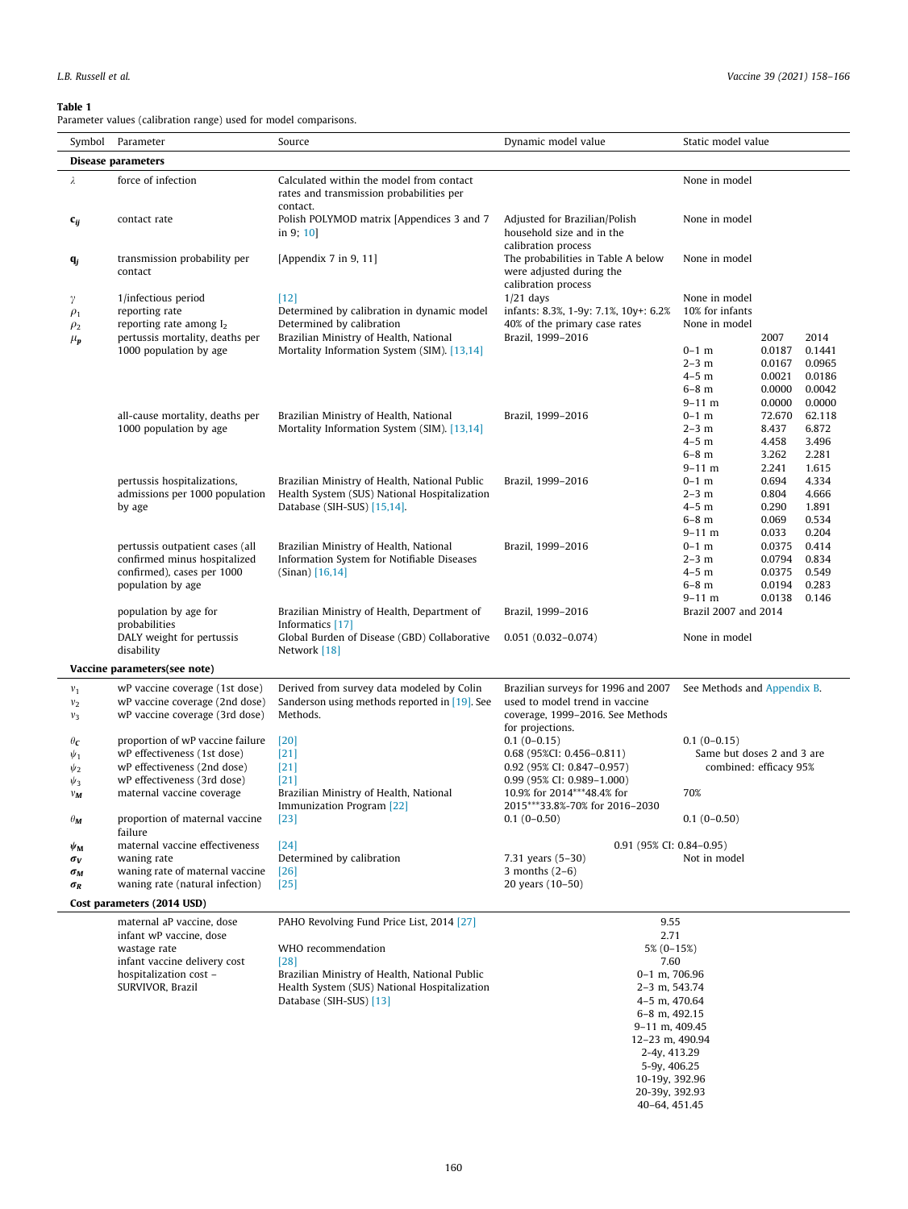# <span id="page-2-0"></span>Table 1

Parameter values (calibration range) used for model comparisons.

|                                                         | Symbol Parameter                                                                                                                                           | Source                                                                                                                                                                                              | Dynamic model value                                                                                                                                                                                                                  | Static model value                                                                                                                                                                                |  |  |  |
|---------------------------------------------------------|------------------------------------------------------------------------------------------------------------------------------------------------------------|-----------------------------------------------------------------------------------------------------------------------------------------------------------------------------------------------------|--------------------------------------------------------------------------------------------------------------------------------------------------------------------------------------------------------------------------------------|---------------------------------------------------------------------------------------------------------------------------------------------------------------------------------------------------|--|--|--|
|                                                         | Disease parameters                                                                                                                                         |                                                                                                                                                                                                     |                                                                                                                                                                                                                                      |                                                                                                                                                                                                   |  |  |  |
| λ                                                       | force of infection                                                                                                                                         | Calculated within the model from contact<br>rates and transmission probabilities per<br>contact.                                                                                                    |                                                                                                                                                                                                                                      | None in model                                                                                                                                                                                     |  |  |  |
| $\mathbf{c}_{ij}$                                       | contact rate                                                                                                                                               | Polish POLYMOD matrix [Appendices 3 and 7<br>in 9; 10]                                                                                                                                              | Adjusted for Brazilian/Polish<br>household size and in the<br>calibration process                                                                                                                                                    | None in model                                                                                                                                                                                     |  |  |  |
| $\mathbf{q}_j$                                          | transmission probability per<br>contact                                                                                                                    | [Appendix $7$ in $9$ , $11$ ]                                                                                                                                                                       | The probabilities in Table A below<br>were adjusted during the<br>calibration process                                                                                                                                                | None in model                                                                                                                                                                                     |  |  |  |
| γ<br>$\rho_1$<br>$\rho_2$<br>$\mu_{\pmb{p}}$            | 1/infectious period<br>reporting rate<br>reporting rate among $I_2$<br>pertussis mortality, deaths per<br>1000 population by age                           | $[12]$<br>Determined by calibration in dynamic model<br>Determined by calibration<br>Brazilian Ministry of Health, National<br>Mortality Information System (SIM). [13,14]                          | $1/21$ days<br>infants: 8.3%, 1-9y: 7.1%, 10y+: 6.2%<br>40% of the primary case rates<br>Brazil, 1999-2016                                                                                                                           | None in model<br>10% for infants<br>None in model<br>2007<br>2014<br>$0 - 1$ m<br>0.0187<br>0.1441<br>$2 - 3$ m<br>0.0965<br>0.0167<br>$4-5$ m<br>0.0186<br>0.0021<br>$6-8$ m<br>0.0000<br>0.0042 |  |  |  |
|                                                         | all-cause mortality, deaths per<br>1000 population by age                                                                                                  | Brazilian Ministry of Health, National<br>Mortality Information System (SIM). [13,14]                                                                                                               | Brazil, 1999-2016                                                                                                                                                                                                                    | 0.0000<br>$9 - 11$ m<br>0.0000<br>$0 - 1$ m<br>72.670<br>62.118<br>$2 - 3$ m<br>8.437<br>6.872<br>$4-5$ m<br>4.458<br>3.496<br>$6-8$ m<br>3.262<br>2.281                                          |  |  |  |
|                                                         | pertussis hospitalizations,<br>admissions per 1000 population<br>by age                                                                                    | Brazilian Ministry of Health, National Public<br>Health System (SUS) National Hospitalization<br>Database (SIH-SUS) [15,14].                                                                        | Brazil, 1999-2016                                                                                                                                                                                                                    | $9 - 11$ m<br>2.241<br>1.615<br>$0 - 1$ m<br>0.694<br>4.334<br>4.666<br>$2 - 3$ m<br>0.804<br>$4 - 5$ m<br>0.290<br>1.891<br>0.534<br>$6-8$ m<br>0.069                                            |  |  |  |
|                                                         | pertussis outpatient cases (all<br>confirmed minus hospitalized<br>confirmed), cases per 1000<br>population by age                                         | Brazilian Ministry of Health, National<br>Information System for Notifiable Diseases<br>$(Sinan)$ [16,14]                                                                                           | Brazil, 1999-2016                                                                                                                                                                                                                    | $9 - 11$ m<br>0.033<br>0.204<br>$0 - 1$ m<br>0.0375<br>0.414<br>0.834<br>$2 - 3$ m<br>0.0794<br>$4-5$ m<br>0.0375<br>0.549<br>$6-8$ m<br>0.0194<br>0.283<br>0.0138<br>$9 - 11$ m<br>0.146         |  |  |  |
|                                                         | population by age for<br>probabilities<br>DALY weight for pertussis                                                                                        | Brazilian Ministry of Health, Department of<br>Informatics [17]<br>Global Burden of Disease (GBD) Collaborative                                                                                     | Brazil, 1999-2016<br>$0.051(0.032 - 0.074)$                                                                                                                                                                                          | Brazil 2007 and 2014<br>None in model                                                                                                                                                             |  |  |  |
|                                                         | disability<br>Vaccine parameters(see note)                                                                                                                 | Network [18]                                                                                                                                                                                        |                                                                                                                                                                                                                                      |                                                                                                                                                                                                   |  |  |  |
|                                                         | wP vaccine coverage (1st dose)                                                                                                                             | Derived from survey data modeled by Colin                                                                                                                                                           | Brazilian surveys for 1996 and 2007                                                                                                                                                                                                  | See Methods and Appendix B.                                                                                                                                                                       |  |  |  |
| $v_1$<br>$v_2$<br>$v_3$                                 | wP vaccine coverage (2nd dose)<br>wP vaccine coverage (3rd dose)                                                                                           | Sanderson using methods reported in $[19]$ . See<br>Methods.                                                                                                                                        | used to model trend in vaccine<br>coverage, 1999–2016. See Methods<br>for projections.                                                                                                                                               |                                                                                                                                                                                                   |  |  |  |
| $\theta$ c<br>$\psi_1$<br>$\psi_2$<br>$\psi_3$<br>$v_M$ | proportion of wP vaccine failure<br>wP effectiveness (1st dose)<br>wP effectiveness (2nd dose)<br>wP effectiveness (3rd dose)<br>maternal vaccine coverage | [20]<br>$[21]$<br>$[21]$<br>[21]<br>Brazilian Ministry of Health, National<br>Immunization Program [22]                                                                                             | $0.1(0-0.15)$<br>$0.68$ (95%CI: 0.456-0.811)<br>0.92 (95% CI: 0.847-0.957)<br>0.99 (95% CI: 0.989-1.000)<br>10.9% for 2014***48.4% for<br>2015***33.8%-70% for 2016-2030                                                             | $0.1(0-0.15)$<br>Same but doses 2 and 3 are<br>combined: efficacy 95%<br>70%                                                                                                                      |  |  |  |
| $\theta_{\bm{M}}$                                       | proportion of maternal vaccine<br>failure                                                                                                                  | $[23]$                                                                                                                                                                                              | $0.1(0-0.50)$                                                                                                                                                                                                                        | $0.1(0-0.50)$                                                                                                                                                                                     |  |  |  |
| $\psi_{\rm M}$<br>$\sigma_V$                            | maternal vaccine effectiveness<br>waning rate                                                                                                              | [24]<br>Determined by calibration                                                                                                                                                                   | $0.91$ (95% CI: 0.84-0.95)<br>7.31 years $(5-30)$                                                                                                                                                                                    | Not in model                                                                                                                                                                                      |  |  |  |
| $\sigma_M$<br>$\sigma_R$                                | waning rate of maternal vaccine<br>waning rate (natural infection)                                                                                         | [26]<br>$[25]$                                                                                                                                                                                      | 3 months $(2-6)$<br>20 years (10–50)                                                                                                                                                                                                 |                                                                                                                                                                                                   |  |  |  |
|                                                         | Cost parameters (2014 USD)                                                                                                                                 |                                                                                                                                                                                                     |                                                                                                                                                                                                                                      |                                                                                                                                                                                                   |  |  |  |
|                                                         | maternal aP vaccine, dose<br>infant wP vaccine, dose<br>wastage rate<br>infant vaccine delivery cost<br>hospitalization cost -<br>SURVIVOR, Brazil         | PAHO Revolving Fund Price List, 2014 [27]<br>WHO recommendation<br>[28]<br>Brazilian Ministry of Health, National Public<br>Health System (SUS) National Hospitalization<br>Database (SIH-SUS) [13] | 9.55<br>2.71<br>$5\% (0-15\%)$<br>7.60<br>0-1 m, 706.96<br>2-3 m, 543.74<br>4-5 m, 470.64<br>6-8 m, 492.15<br>9-11 m, 409.45<br>12-23 m, 490.94<br>2-4y, 413.29<br>5-9y, 406.25<br>10-19y, 392.96<br>20-39y, 392.93<br>40-64, 451.45 |                                                                                                                                                                                                   |  |  |  |
|                                                         |                                                                                                                                                            |                                                                                                                                                                                                     |                                                                                                                                                                                                                                      |                                                                                                                                                                                                   |  |  |  |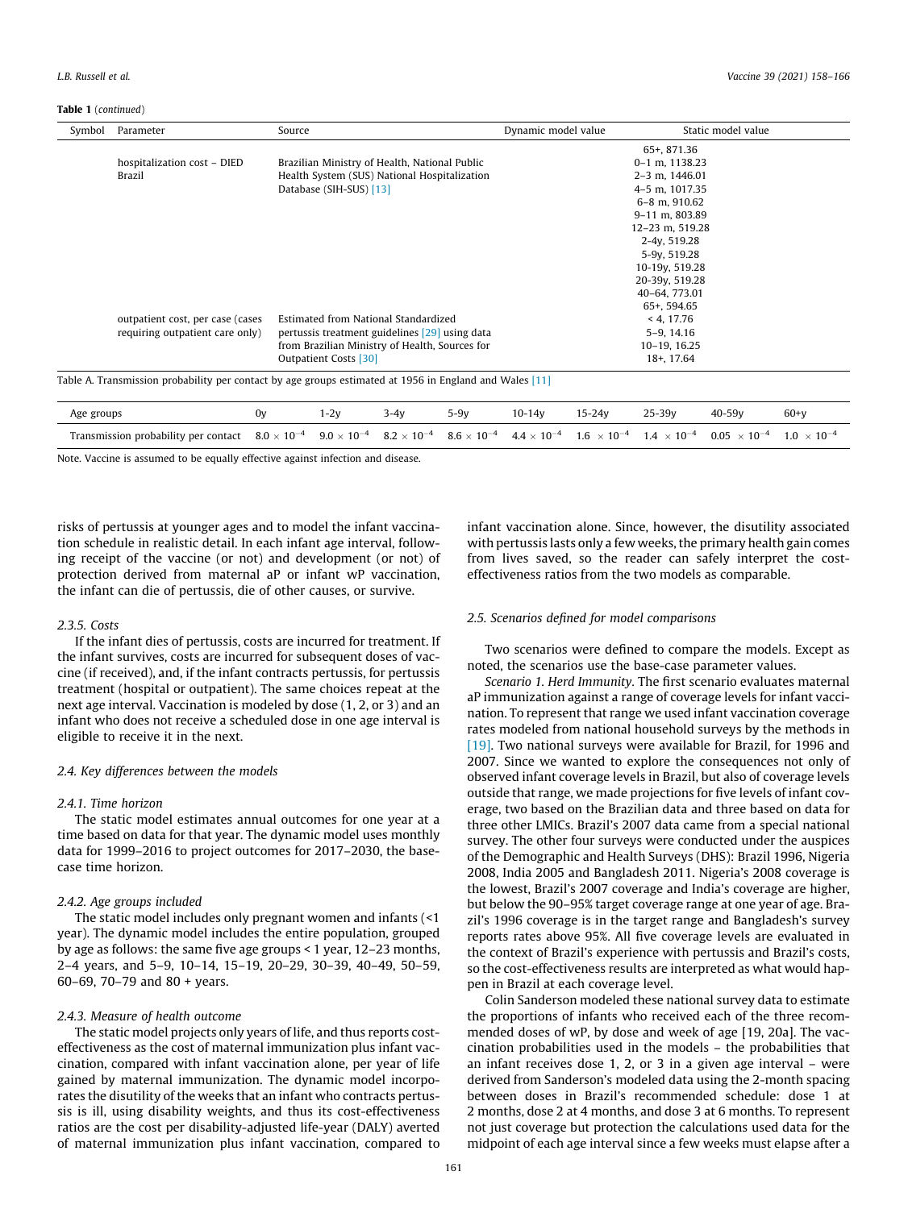| Symbol | Parameter                        | Source                                         | Dynamic model value | Static model value |  |
|--------|----------------------------------|------------------------------------------------|---------------------|--------------------|--|
|        |                                  |                                                |                     | 65+, 871.36        |  |
|        | hospitalization cost - DIED      | Brazilian Ministry of Health, National Public  |                     | $0-1$ m, $1138.23$ |  |
|        | Brazil                           | Health System (SUS) National Hospitalization   |                     | $2-3$ m, $1446.01$ |  |
|        |                                  | Database (SIH-SUS) [13]                        |                     | $4-5$ m, 1017.35   |  |
|        |                                  |                                                |                     | 6-8 m, 910.62      |  |
|        |                                  |                                                |                     | 9-11 m, 803.89     |  |
|        |                                  |                                                |                     | 12-23 m, 519.28    |  |
|        |                                  |                                                |                     | 2-4y, 519.28       |  |
|        |                                  |                                                |                     | 5-9y, 519.28       |  |
|        |                                  |                                                |                     | 10-19y, 519.28     |  |
|        |                                  |                                                |                     | 20-39y, 519.28     |  |
|        |                                  |                                                |                     | 40-64, 773.01      |  |
|        |                                  |                                                |                     | 65+, 594.65        |  |
|        | outpatient cost, per case (cases | Estimated from National Standardized           |                     | $<$ 4, 17.76       |  |
|        | requiring outpatient care only)  | pertussis treatment guidelines [29] using data |                     | $5-9, 14.16$       |  |
|        |                                  | from Brazilian Ministry of Health, Sources for |                     | 10-19, 16.25       |  |
|        |                                  | Outpatient Costs [30]                          |                     | 18+, 17.64         |  |

| Age groups                           |                    | $1-2v$               | 3-4v               | $5-9v$             | $10 - 14v$           | 15-24v               | $25 - 39v$           | $40 - 59v$            | $60 + v$             |
|--------------------------------------|--------------------|----------------------|--------------------|--------------------|----------------------|----------------------|----------------------|-----------------------|----------------------|
| Transmission probability per contact | $8.0\times10^{-4}$ | $9.0 \times 10^{-4}$ | $8.2\times10^{-4}$ | $8.6\times10^{-4}$ | $4.4 \times 10^{-4}$ | $1.6 \times 10^{-4}$ | $1.4 \times 10^{-4}$ | $0.05 \times 10^{-4}$ | $1.0 \times 10^{-7}$ |

Note. Vaccine is assumed to be equally effective against infection and disease.

risks of pertussis at younger ages and to model the infant vaccination schedule in realistic detail. In each infant age interval, following receipt of the vaccine (or not) and development (or not) of protection derived from maternal aP or infant wP vaccination, the infant can die of pertussis, die of other causes, or survive.

# 2.3.5. Costs

If the infant dies of pertussis, costs are incurred for treatment. If the infant survives, costs are incurred for subsequent doses of vaccine (if received), and, if the infant contracts pertussis, for pertussis treatment (hospital or outpatient). The same choices repeat at the next age interval. Vaccination is modeled by dose (1, 2, or 3) and an infant who does not receive a scheduled dose in one age interval is eligible to receive it in the next.

#### 2.4. Key differences between the models

# 2.4.1. Time horizon

The static model estimates annual outcomes for one year at a time based on data for that year. The dynamic model uses monthly data for 1999–2016 to project outcomes for 2017–2030, the basecase time horizon.

# 2.4.2. Age groups included

The static model includes only pregnant women and infants (<1 year). The dynamic model includes the entire population, grouped by age as follows: the same five age groups < 1 year, 12–23 months, 2–4 years, and 5–9, 10–14, 15–19, 20–29, 30–39, 40–49, 50–59, 60–69, 70–79 and 80 + years.

### 2.4.3. Measure of health outcome

The static model projects only years of life, and thus reports costeffectiveness as the cost of maternal immunization plus infant vaccination, compared with infant vaccination alone, per year of life gained by maternal immunization. The dynamic model incorporates the disutility of the weeks that an infant who contracts pertussis is ill, using disability weights, and thus its cost-effectiveness ratios are the cost per disability-adjusted life-year (DALY) averted of maternal immunization plus infant vaccination, compared to infant vaccination alone. Since, however, the disutility associated with pertussis lasts only a few weeks, the primary health gain comes from lives saved, so the reader can safely interpret the costeffectiveness ratios from the two models as comparable.

# 2.5. Scenarios defined for model comparisons

Two scenarios were defined to compare the models. Except as noted, the scenarios use the base-case parameter values.

Scenario 1. Herd Immunity. The first scenario evaluates maternal aP immunization against a range of coverage levels for infant vaccination. To represent that range we used infant vaccination coverage rates modeled from national household surveys by the methods in [\[19\]](#page-8-0). Two national surveys were available for Brazil, for 1996 and 2007. Since we wanted to explore the consequences not only of observed infant coverage levels in Brazil, but also of coverage levels outside that range, we made projections for five levels of infant coverage, two based on the Brazilian data and three based on data for three other LMICs. Brazil's 2007 data came from a special national survey. The other four surveys were conducted under the auspices of the Demographic and Health Surveys (DHS): Brazil 1996, Nigeria 2008, India 2005 and Bangladesh 2011. Nigeria's 2008 coverage is the lowest, Brazil's 2007 coverage and India's coverage are higher, but below the 90–95% target coverage range at one year of age. Brazil's 1996 coverage is in the target range and Bangladesh's survey reports rates above 95%. All five coverage levels are evaluated in the context of Brazil's experience with pertussis and Brazil's costs, so the cost-effectiveness results are interpreted as what would happen in Brazil at each coverage level.

Colin Sanderson modeled these national survey data to estimate the proportions of infants who received each of the three recommended doses of wP, by dose and week of age [19, 20a]. The vaccination probabilities used in the models – the probabilities that an infant receives dose 1, 2, or 3 in a given age interval – were derived from Sanderson's modeled data using the 2-month spacing between doses in Brazil's recommended schedule: dose 1 at 2 months, dose 2 at 4 months, and dose 3 at 6 months. To represent not just coverage but protection the calculations used data for the midpoint of each age interval since a few weeks must elapse after a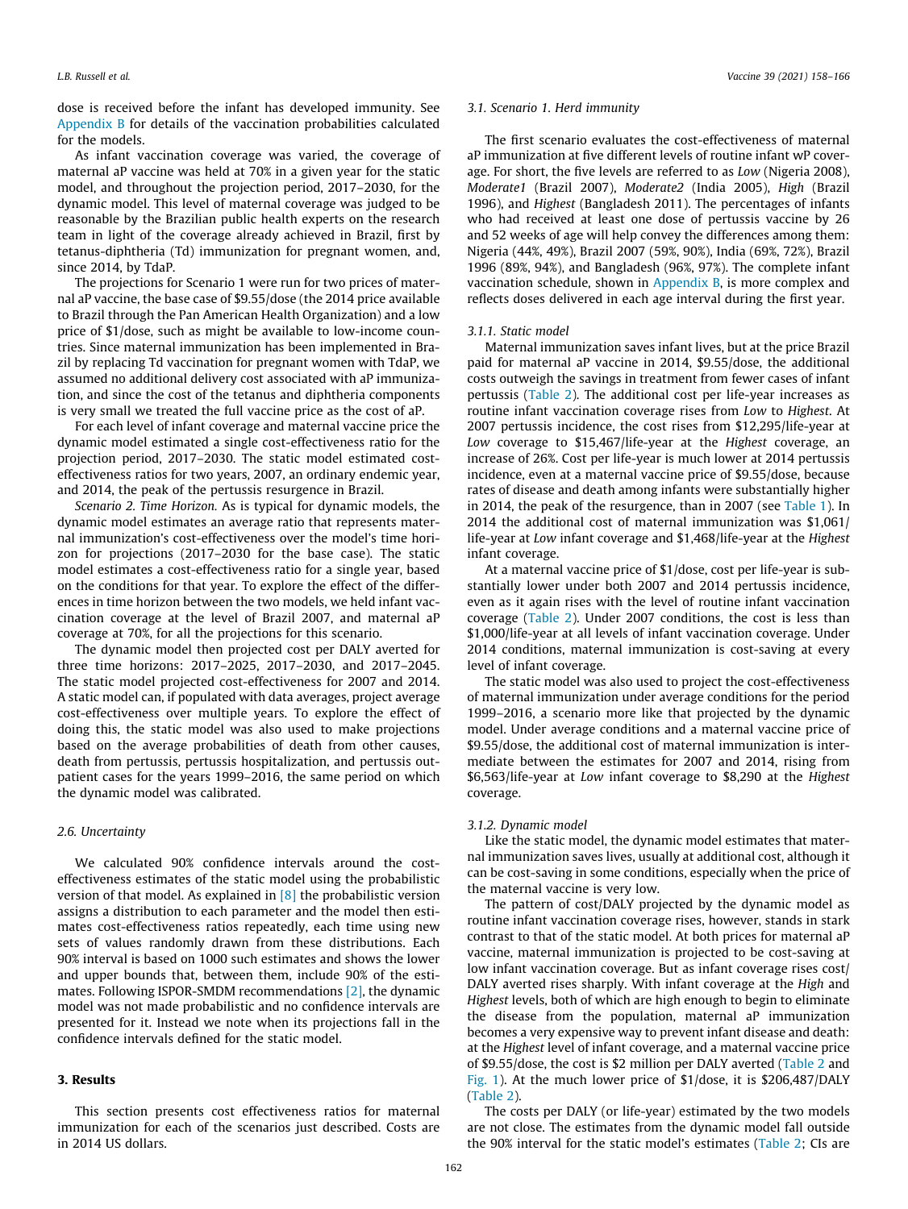<span id="page-4-0"></span>dose is received before the infant has developed immunity. See Appendix B for details of the vaccination probabilities calculated for the models.

As infant vaccination coverage was varied, the coverage of maternal aP vaccine was held at 70% in a given year for the static model, and throughout the projection period, 2017–2030, for the dynamic model. This level of maternal coverage was judged to be reasonable by the Brazilian public health experts on the research team in light of the coverage already achieved in Brazil, first by tetanus-diphtheria (Td) immunization for pregnant women, and, since 2014, by TdaP.

The projections for Scenario 1 were run for two prices of maternal aP vaccine, the base case of \$9.55/dose (the 2014 price available to Brazil through the Pan American Health Organization) and a low price of \$1/dose, such as might be available to low-income countries. Since maternal immunization has been implemented in Brazil by replacing Td vaccination for pregnant women with TdaP, we assumed no additional delivery cost associated with aP immunization, and since the cost of the tetanus and diphtheria components is very small we treated the full vaccine price as the cost of aP.

For each level of infant coverage and maternal vaccine price the dynamic model estimated a single cost-effectiveness ratio for the projection period, 2017–2030. The static model estimated costeffectiveness ratios for two years, 2007, an ordinary endemic year, and 2014, the peak of the pertussis resurgence in Brazil.

Scenario 2. Time Horizon. As is typical for dynamic models, the dynamic model estimates an average ratio that represents maternal immunization's cost-effectiveness over the model's time horizon for projections (2017–2030 for the base case). The static model estimates a cost-effectiveness ratio for a single year, based on the conditions for that year. To explore the effect of the differences in time horizon between the two models, we held infant vaccination coverage at the level of Brazil 2007, and maternal aP coverage at 70%, for all the projections for this scenario.

The dynamic model then projected cost per DALY averted for three time horizons: 2017–2025, 2017–2030, and 2017–2045. The static model projected cost-effectiveness for 2007 and 2014. A static model can, if populated with data averages, project average cost-effectiveness over multiple years. To explore the effect of doing this, the static model was also used to make projections based on the average probabilities of death from other causes, death from pertussis, pertussis hospitalization, and pertussis outpatient cases for the years 1999–2016, the same period on which the dynamic model was calibrated.

# 2.6. Uncertainty

We calculated 90% confidence intervals around the costeffectiveness estimates of the static model using the probabilistic version of that model. As explained in [\[8\]](#page-8-0) the probabilistic version assigns a distribution to each parameter and the model then estimates cost-effectiveness ratios repeatedly, each time using new sets of values randomly drawn from these distributions. Each 90% interval is based on 1000 such estimates and shows the lower and upper bounds that, between them, include 90% of the estimates. Following ISPOR-SMDM recommendations [\[2\],](#page-7-0) the dynamic model was not made probabilistic and no confidence intervals are presented for it. Instead we note when its projections fall in the confidence intervals defined for the static model.

# 3. Results

This section presents cost effectiveness ratios for maternal immunization for each of the scenarios just described. Costs are in 2014 US dollars.

#### 3.1. Scenario 1. Herd immunity

The first scenario evaluates the cost-effectiveness of maternal aP immunization at five different levels of routine infant wP coverage. For short, the five levels are referred to as Low (Nigeria 2008), Moderate1 (Brazil 2007), Moderate2 (India 2005), High (Brazil 1996), and Highest (Bangladesh 2011). The percentages of infants who had received at least one dose of pertussis vaccine by 26 and 52 weeks of age will help convey the differences among them: Nigeria (44%, 49%), Brazil 2007 (59%, 90%), India (69%, 72%), Brazil 1996 (89%, 94%), and Bangladesh (96%, 97%). The complete infant vaccination schedule, shown in Appendix B, is more complex and reflects doses delivered in each age interval during the first year.

#### 3.1.1. Static model

Maternal immunization saves infant lives, but at the price Brazil paid for maternal aP vaccine in 2014, \$9.55/dose, the additional costs outweigh the savings in treatment from fewer cases of infant pertussis ([Table 2](#page-5-0)). The additional cost per life-year increases as routine infant vaccination coverage rises from Low to Highest. At 2007 pertussis incidence, the cost rises from \$12,295/life-year at Low coverage to \$15,467/life-year at the Highest coverage, an increase of 26%. Cost per life-year is much lower at 2014 pertussis incidence, even at a maternal vaccine price of \$9.55/dose, because rates of disease and death among infants were substantially higher in 2014, the peak of the resurgence, than in 2007 (see [Table 1\)](#page-2-0). In 2014 the additional cost of maternal immunization was \$1,061/ life-year at Low infant coverage and \$1,468/life-year at the Highest infant coverage.

At a maternal vaccine price of \$1/dose, cost per life-year is substantially lower under both 2007 and 2014 pertussis incidence, even as it again rises with the level of routine infant vaccination coverage ([Table 2](#page-5-0)). Under 2007 conditions, the cost is less than \$1,000/life-year at all levels of infant vaccination coverage. Under 2014 conditions, maternal immunization is cost-saving at every level of infant coverage.

The static model was also used to project the cost-effectiveness of maternal immunization under average conditions for the period 1999–2016, a scenario more like that projected by the dynamic model. Under average conditions and a maternal vaccine price of \$9.55/dose, the additional cost of maternal immunization is intermediate between the estimates for 2007 and 2014, rising from \$6,563/life-year at Low infant coverage to \$8,290 at the Highest coverage.

### 3.1.2. Dynamic model

Like the static model, the dynamic model estimates that maternal immunization saves lives, usually at additional cost, although it can be cost-saving in some conditions, especially when the price of the maternal vaccine is very low.

The pattern of cost/DALY projected by the dynamic model as routine infant vaccination coverage rises, however, stands in stark contrast to that of the static model. At both prices for maternal aP vaccine, maternal immunization is projected to be cost-saving at low infant vaccination coverage. But as infant coverage rises cost/ DALY averted rises sharply. With infant coverage at the High and Highest levels, both of which are high enough to begin to eliminate the disease from the population, maternal aP immunization becomes a very expensive way to prevent infant disease and death: at the Highest level of infant coverage, and a maternal vaccine price of \$9.55/dose, the cost is \$2 million per DALY averted ([Table 2](#page-5-0) and [Fig. 1\)](#page-6-0). At the much lower price of \$1/dose, it is \$206,487/DALY ([Table 2](#page-5-0)).

The costs per DALY (or life-year) estimated by the two models are not close. The estimates from the dynamic model fall outside the 90% interval for the static model's estimates ([Table 2;](#page-5-0) CIs are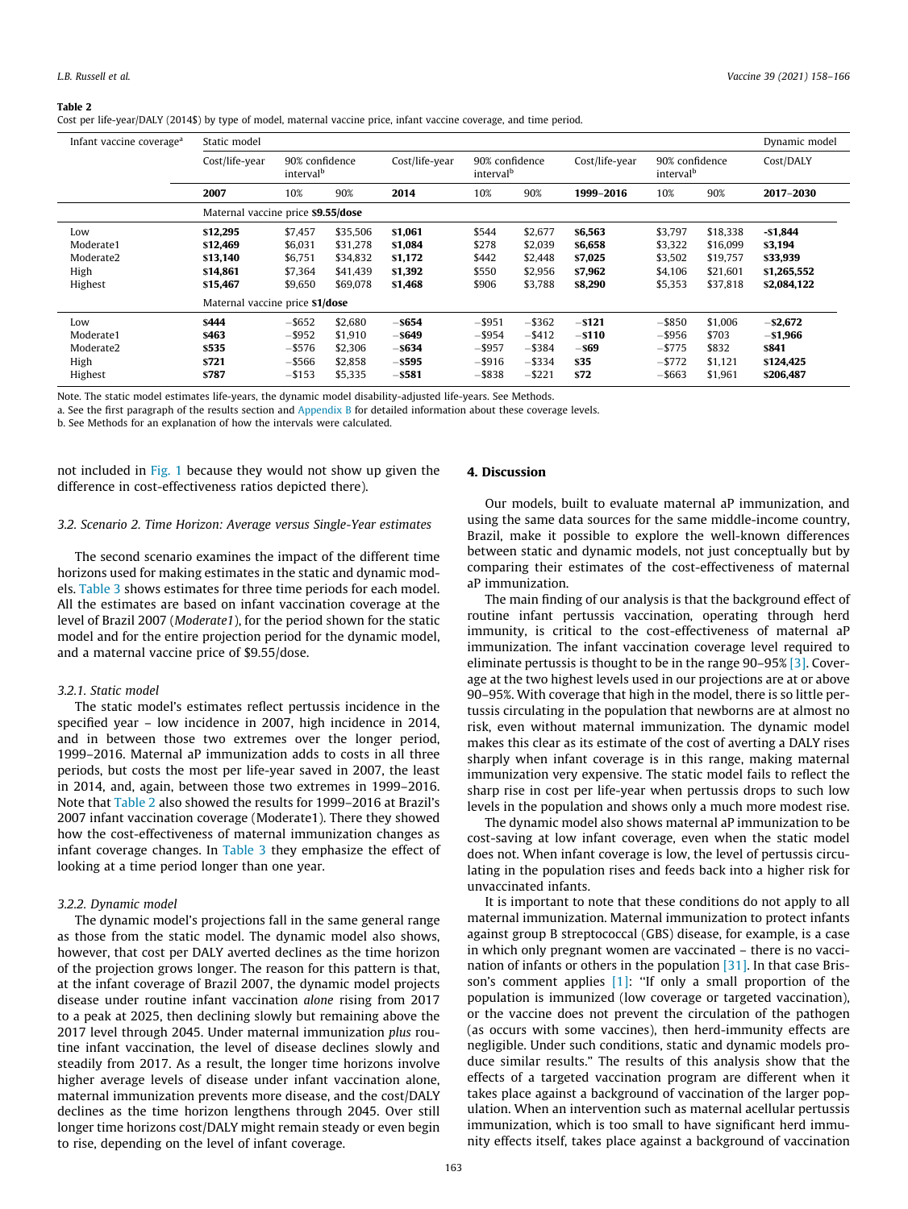#### <span id="page-5-0"></span>Table 2

Cost per life-year/DALY (2014\$) by type of model, maternal vaccine price, infant vaccine coverage, and time period.

| Infant vaccine coverage <sup>a</sup>             | Static model                                                                                |                                                               |                                                          |                                                               |                                                               |                                                               |                                                         |                                                           |                                                          | Dynamic model                                                        |
|--------------------------------------------------|---------------------------------------------------------------------------------------------|---------------------------------------------------------------|----------------------------------------------------------|---------------------------------------------------------------|---------------------------------------------------------------|---------------------------------------------------------------|---------------------------------------------------------|-----------------------------------------------------------|----------------------------------------------------------|----------------------------------------------------------------------|
|                                                  | Cost/life-year                                                                              | 90% confidence<br>interval <sup>b</sup>                       |                                                          | Cost/life-year                                                | 90% confidence<br>interval <sup>b</sup>                       |                                                               | Cost/life-year                                          | 90% confidence<br>interval <sup>b</sup>                   |                                                          | Cost/DALY                                                            |
|                                                  | 2007                                                                                        | 10%                                                           | 90%                                                      | 2014                                                          | 10%                                                           | 90%                                                           | 1999-2016                                               | 10%                                                       | 90%                                                      | 2017-2030                                                            |
|                                                  | Maternal vaccine price \$9.55/dose                                                          |                                                               |                                                          |                                                               |                                                               |                                                               |                                                         |                                                           |                                                          |                                                                      |
| Low<br>Moderate1<br>Moderate2<br>High<br>Highest | \$12,295<br>\$12,469<br>\$13,140<br>\$14,861<br>\$15,467<br>Maternal vaccine price \$1/dose | \$7,457<br>\$6,031<br>\$6,751<br>\$7,364<br>\$9,650           | \$35.506<br>\$31.278<br>\$34.832<br>\$41.439<br>\$69,078 | \$1,061<br>\$1,084<br>\$1,172<br>\$1,392<br>\$1,468           | \$544<br>\$278<br>\$442<br>\$550<br>\$906                     | \$2.677<br>\$2,039<br>\$2.448<br>\$2,956<br>\$3,788           | \$6,563<br>\$6,658<br>\$7,025<br>\$7,962<br>\$8,290     | \$3.797<br>\$3,322<br>\$3.502<br>\$4,106<br>\$5,353       | \$18,338<br>\$16,099<br>\$19.757<br>\$21,601<br>\$37,818 | $-51,844$<br>\$3,194<br>\$33,939<br>\$1,265,552<br>\$2,084,122       |
| Low<br>Moderate1<br>Moderate2<br>High<br>Highest | \$444<br>\$463<br>\$535<br><b>\$721</b><br>\$787                                            | $-$ \$652<br>$-$ \$952<br>$-$ \$576<br>$-$ \$566<br>$-$ \$153 | \$2.680<br>\$1.910<br>\$2,306<br>\$2.858<br>\$5.335      | $-$ \$654<br>$-$ \$649<br>$-$ \$634<br>$-$ \$595<br>$-$ \$581 | $-$ \$951<br>$-$ \$954<br>$-$ \$957<br>$-$ \$916<br>$-$ \$838 | $-$ \$362<br>$-$ \$412<br>$-$ \$384<br>$-$ \$334<br>$-$ \$221 | $-5121$<br>$-$ \$110<br>$-$ \$69<br>\$35<br><b>\$72</b> | $-$ \$850<br>$-$ \$956<br>$-5775$<br>$-5772$<br>$-$ \$663 | \$1,006<br>\$703<br>\$832<br>\$1.121<br>\$1.961          | $-$ \$2,672<br>$-$ \$1,966<br><b>\$841</b><br>\$124.425<br>\$206,487 |

Note. The static model estimates life-years, the dynamic model disability-adjusted life-years. See Methods.

a. See the first paragraph of the results section and [Appendix B](#page-4-0) for detailed information about these coverage levels.

b. See Methods for an explanation of how the intervals were calculated.

not included in [Fig. 1](#page-6-0) because they would not show up given the difference in cost-effectiveness ratios depicted there).

# 3.2. Scenario 2. Time Horizon: Average versus Single-Year estimates

The second scenario examines the impact of the different time horizons used for making estimates in the static and dynamic models. [Table 3](#page-6-0) shows estimates for three time periods for each model. All the estimates are based on infant vaccination coverage at the level of Brazil 2007 (Moderate1), for the period shown for the static model and for the entire projection period for the dynamic model, and a maternal vaccine price of \$9.55/dose.

# 3.2.1. Static model

The static model's estimates reflect pertussis incidence in the specified year – low incidence in 2007, high incidence in 2014, and in between those two extremes over the longer period, 1999–2016. Maternal aP immunization adds to costs in all three periods, but costs the most per life-year saved in 2007, the least in 2014, and, again, between those two extremes in 1999–2016. Note that Table 2 also showed the results for 1999–2016 at Brazil's 2007 infant vaccination coverage (Moderate1). There they showed how the cost-effectiveness of maternal immunization changes as infant coverage changes. In [Table 3](#page-6-0) they emphasize the effect of looking at a time period longer than one year.

#### 3.2.2. Dynamic model

The dynamic model's projections fall in the same general range as those from the static model. The dynamic model also shows, however, that cost per DALY averted declines as the time horizon of the projection grows longer. The reason for this pattern is that, at the infant coverage of Brazil 2007, the dynamic model projects disease under routine infant vaccination alone rising from 2017 to a peak at 2025, then declining slowly but remaining above the 2017 level through 2045. Under maternal immunization plus routine infant vaccination, the level of disease declines slowly and steadily from 2017. As a result, the longer time horizons involve higher average levels of disease under infant vaccination alone, maternal immunization prevents more disease, and the cost/DALY declines as the time horizon lengthens through 2045. Over still longer time horizons cost/DALY might remain steady or even begin to rise, depending on the level of infant coverage.

#### 4. Discussion

Our models, built to evaluate maternal aP immunization, and using the same data sources for the same middle-income country, Brazil, make it possible to explore the well-known differences between static and dynamic models, not just conceptually but by comparing their estimates of the cost-effectiveness of maternal aP immunization.

The main finding of our analysis is that the background effect of routine infant pertussis vaccination, operating through herd immunity, is critical to the cost-effectiveness of maternal aP immunization. The infant vaccination coverage level required to eliminate pertussis is thought to be in the range 90–95% [\[3\].](#page-8-0) Coverage at the two highest levels used in our projections are at or above 90–95%. With coverage that high in the model, there is so little pertussis circulating in the population that newborns are at almost no risk, even without maternal immunization. The dynamic model makes this clear as its estimate of the cost of averting a DALY rises sharply when infant coverage is in this range, making maternal immunization very expensive. The static model fails to reflect the sharp rise in cost per life-year when pertussis drops to such low levels in the population and shows only a much more modest rise.

The dynamic model also shows maternal aP immunization to be cost-saving at low infant coverage, even when the static model does not. When infant coverage is low, the level of pertussis circulating in the population rises and feeds back into a higher risk for unvaccinated infants.

It is important to note that these conditions do not apply to all maternal immunization. Maternal immunization to protect infants against group B streptococcal (GBS) disease, for example, is a case in which only pregnant women are vaccinated – there is no vaccination of infants or others in the population [\[31\]](#page-8-0). In that case Brisson's comment applies [\[1\]](#page-7-0): ''If only a small proportion of the population is immunized (low coverage or targeted vaccination), or the vaccine does not prevent the circulation of the pathogen (as occurs with some vaccines), then herd-immunity effects are negligible. Under such conditions, static and dynamic models produce similar results." The results of this analysis show that the effects of a targeted vaccination program are different when it takes place against a background of vaccination of the larger population. When an intervention such as maternal acellular pertussis immunization, which is too small to have significant herd immunity effects itself, takes place against a background of vaccination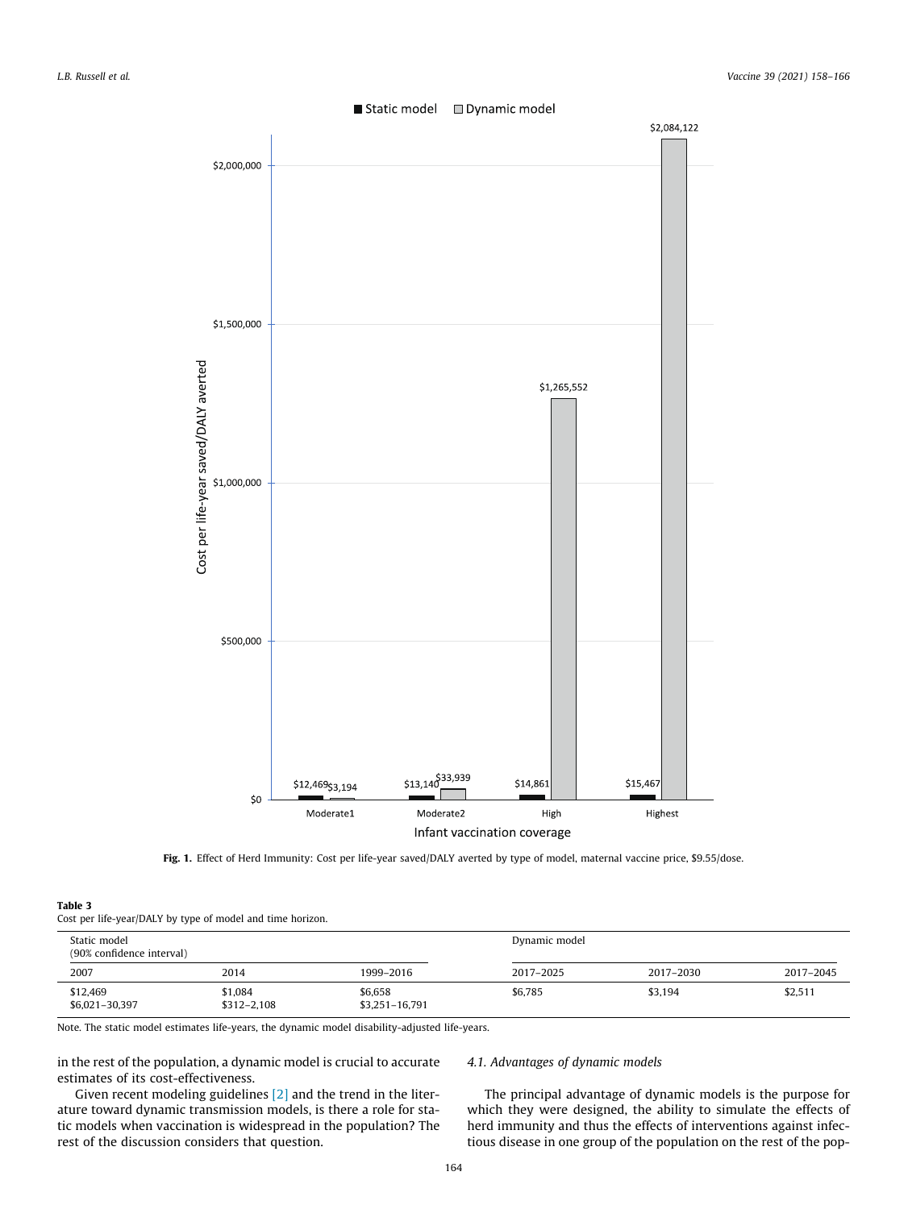<span id="page-6-0"></span>

#### Static model □ Dynamic model

Fig. 1. Effect of Herd Immunity: Cost per life-year saved/DALY averted by type of model, maternal vaccine price, \$9.55/dose.

# Table 3

Cost per life-year/DALY by type of model and time horizon.

| Static model<br>(90% confidence interval) |                           |                           | Dynamic model |           |           |
|-------------------------------------------|---------------------------|---------------------------|---------------|-----------|-----------|
| 2007                                      | 2014                      | 1999-2016                 | 2017-2025     | 2017-2030 | 2017-2045 |
| \$12,469<br>\$6,021-30,397                | \$1,084<br>$$312 - 2.108$ | \$6,658<br>\$3,251-16,791 | \$6.785       | \$3.194   | \$2,511   |

Note. The static model estimates life-years, the dynamic model disability-adjusted life-years.

in the rest of the population, a dynamic model is crucial to accurate estimates of its cost-effectiveness.

# Given recent modeling guidelines [\[2\]](#page-7-0) and the trend in the literature toward dynamic transmission models, is there a role for static models when vaccination is widespread in the population? The rest of the discussion considers that question.

# 4.1. Advantages of dynamic models

The principal advantage of dynamic models is the purpose for which they were designed, the ability to simulate the effects of herd immunity and thus the effects of interventions against infectious disease in one group of the population on the rest of the pop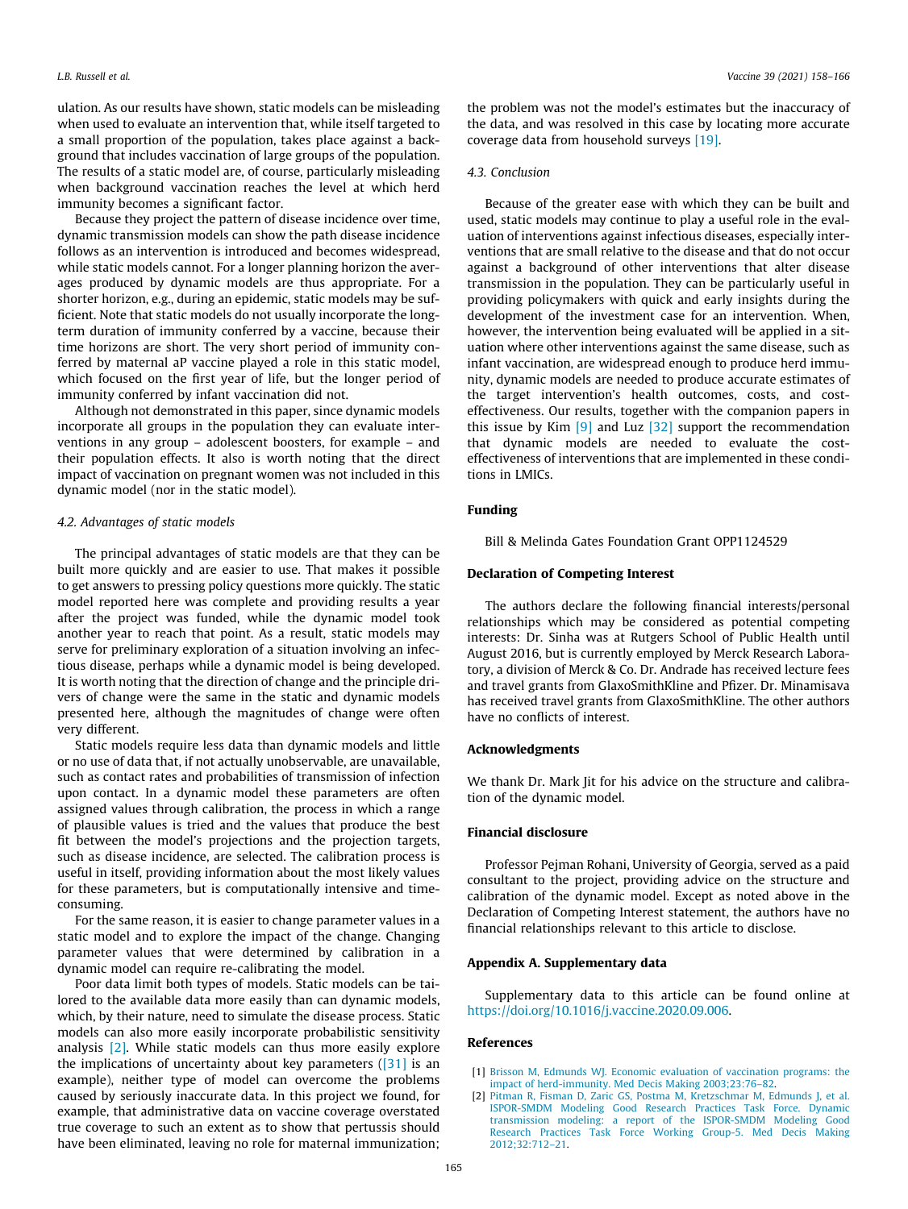<span id="page-7-0"></span>ulation. As our results have shown, static models can be misleading when used to evaluate an intervention that, while itself targeted to a small proportion of the population, takes place against a background that includes vaccination of large groups of the population. The results of a static model are, of course, particularly misleading when background vaccination reaches the level at which herd immunity becomes a significant factor.

Because they project the pattern of disease incidence over time, dynamic transmission models can show the path disease incidence follows as an intervention is introduced and becomes widespread, while static models cannot. For a longer planning horizon the averages produced by dynamic models are thus appropriate. For a shorter horizon, e.g., during an epidemic, static models may be sufficient. Note that static models do not usually incorporate the longterm duration of immunity conferred by a vaccine, because their time horizons are short. The very short period of immunity conferred by maternal aP vaccine played a role in this static model, which focused on the first year of life, but the longer period of immunity conferred by infant vaccination did not.

Although not demonstrated in this paper, since dynamic models incorporate all groups in the population they can evaluate interventions in any group – adolescent boosters, for example – and their population effects. It also is worth noting that the direct impact of vaccination on pregnant women was not included in this dynamic model (nor in the static model).

#### 4.2. Advantages of static models

The principal advantages of static models are that they can be built more quickly and are easier to use. That makes it possible to get answers to pressing policy questions more quickly. The static model reported here was complete and providing results a year after the project was funded, while the dynamic model took another year to reach that point. As a result, static models may serve for preliminary exploration of a situation involving an infectious disease, perhaps while a dynamic model is being developed. It is worth noting that the direction of change and the principle drivers of change were the same in the static and dynamic models presented here, although the magnitudes of change were often very different.

Static models require less data than dynamic models and little or no use of data that, if not actually unobservable, are unavailable, such as contact rates and probabilities of transmission of infection upon contact. In a dynamic model these parameters are often assigned values through calibration, the process in which a range of plausible values is tried and the values that produce the best fit between the model's projections and the projection targets, such as disease incidence, are selected. The calibration process is useful in itself, providing information about the most likely values for these parameters, but is computationally intensive and timeconsuming.

For the same reason, it is easier to change parameter values in a static model and to explore the impact of the change. Changing parameter values that were determined by calibration in a dynamic model can require re-calibrating the model.

Poor data limit both types of models. Static models can be tailored to the available data more easily than can dynamic models, which, by their nature, need to simulate the disease process. Static models can also more easily incorporate probabilistic sensitivity analysis [2]. While static models can thus more easily explore the implications of uncertainty about key parameters  $(31)$  is an example), neither type of model can overcome the problems caused by seriously inaccurate data. In this project we found, for example, that administrative data on vaccine coverage overstated true coverage to such an extent as to show that pertussis should have been eliminated, leaving no role for maternal immunization;

the problem was not the model's estimates but the inaccuracy of the data, and was resolved in this case by locating more accurate coverage data from household surveys [\[19\]](#page-8-0).

# 4.3. Conclusion

Because of the greater ease with which they can be built and used, static models may continue to play a useful role in the evaluation of interventions against infectious diseases, especially interventions that are small relative to the disease and that do not occur against a background of other interventions that alter disease transmission in the population. They can be particularly useful in providing policymakers with quick and early insights during the development of the investment case for an intervention. When, however, the intervention being evaluated will be applied in a situation where other interventions against the same disease, such as infant vaccination, are widespread enough to produce herd immunity, dynamic models are needed to produce accurate estimates of the target intervention's health outcomes, costs, and costeffectiveness. Our results, together with the companion papers in this issue by Kim [\[9\]](#page-8-0) and Luz [\[32\]](#page-8-0) support the recommendation that dynamic models are needed to evaluate the costeffectiveness of interventions that are implemented in these conditions in LMICs.

# Funding

Bill & Melinda Gates Foundation Grant OPP1124529

#### Declaration of Competing Interest

The authors declare the following financial interests/personal relationships which may be considered as potential competing interests: Dr. Sinha was at Rutgers School of Public Health until August 2016, but is currently employed by Merck Research Laboratory, a division of Merck & Co. Dr. Andrade has received lecture fees and travel grants from GlaxoSmithKline and Pfizer. Dr. Minamisava has received travel grants from GlaxoSmithKline. The other authors have no conflicts of interest.

#### Acknowledgments

We thank Dr. Mark Jit for his advice on the structure and calibration of the dynamic model.

#### Financial disclosure

Professor Pejman Rohani, University of Georgia, served as a paid consultant to the project, providing advice on the structure and calibration of the dynamic model. Except as noted above in the Declaration of Competing Interest statement, the authors have no financial relationships relevant to this article to disclose.

# Appendix A. Supplementary data

Supplementary data to this article can be found online at <https://doi.org/10.1016/j.vaccine.2020.09.006>.

# References

- [1] [Brisson M, Edmunds WJ. Economic evaluation of vaccination programs: the](http://refhub.elsevier.com/S0264-410X(20)31148-8/h0005) [impact of herd-immunity. Med Decis Making 2003;23:76–82](http://refhub.elsevier.com/S0264-410X(20)31148-8/h0005).
- [2] [Pitman R, Fisman D, Zaric GS, Postma M, Kretzschmar M, Edmunds J, et al.](http://refhub.elsevier.com/S0264-410X(20)31148-8/h0010) [ISPOR-SMDM Modeling Good Research Practices Task Force. Dynamic](http://refhub.elsevier.com/S0264-410X(20)31148-8/h0010) [transmission modeling: a report of the ISPOR-SMDM Modeling Good](http://refhub.elsevier.com/S0264-410X(20)31148-8/h0010) [Research Practices Task Force Working Group-5. Med Decis Making](http://refhub.elsevier.com/S0264-410X(20)31148-8/h0010) [2012;32:712–21.](http://refhub.elsevier.com/S0264-410X(20)31148-8/h0010)